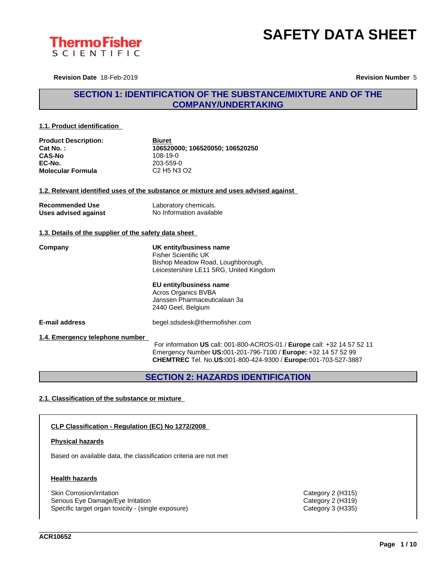



**Revision Date** 18-Feb-2019 **Revision Number** 5

# **SECTION 1: IDENTIFICATION OF THE SUBSTANCE/MIXTURE AND OF THE COMPANY/UNDERTAKING**

# **1.1. Product identification**

| <b>Product Description:</b> | <b>Biuret</b>                                               |
|-----------------------------|-------------------------------------------------------------|
| Cat No.:                    | 106520000: 106520050: 106520250                             |
| <b>CAS-No</b>               | 108-19-0                                                    |
| EC-No.                      | 203-559-0                                                   |
| <b>Molecular Formula</b>    | C <sub>2</sub> H <sub>5</sub> N <sub>3</sub> O <sub>2</sub> |

# **1.2. Relevant identified uses of the substance or mixture and uses advised against**

| <b>Recommended Use</b> | Laboratory chemicals.    |
|------------------------|--------------------------|
| Uses advised against   | No Information available |

# **1.3. Details of the supplier of the safety data sheet**

**Company UK entity/business name** Fisher Scientific UK Bishop Meadow Road, Loughborough, Leicestershire LE11 5RG, United Kingdom

> **EU entity/business name** Acros Organics BVBA Janssen Pharmaceuticalaan 3a 2440 Geel, Belgium

**E-mail address** begel.sdsdesk@thermofisher.com

**1.4. Emergency telephone number**

For information **US** call: 001-800-ACROS-01 / **Europe** call: +32 14 57 52 11 Emergency Number **US:**001-201-796-7100 / **Europe:** +32 14 57 52 99 **CHEMTREC** Tel. No.**US:**001-800-424-9300 / **Europe:**001-703-527-3887

\_\_\_\_\_\_\_\_\_\_\_\_\_\_\_\_\_\_\_\_\_\_\_\_\_\_\_\_\_\_\_\_\_\_\_\_\_\_\_\_\_\_\_\_\_\_\_\_\_\_\_\_\_\_\_\_\_\_\_\_\_\_\_\_\_\_\_\_\_\_\_\_\_\_\_\_\_\_\_\_\_\_\_\_\_\_\_\_\_\_\_\_\_\_

**SECTION 2: HAZARDS IDENTIFICATION**

# **2.1. Classification of the substance or mixture**

# **CLP Classification - Regulation (EC) No 1272/2008**

# **Physical hazards**

Based on available data, the classification criteria are not met

# **Health hazards**

Skin Corrosion/irritation Category 2 (H315) Serious Eye Damage/Eye Irritation Category 2 (H319) Specific target organ toxicity - (single exposure) Category 3 (H335) Category 3 (H335)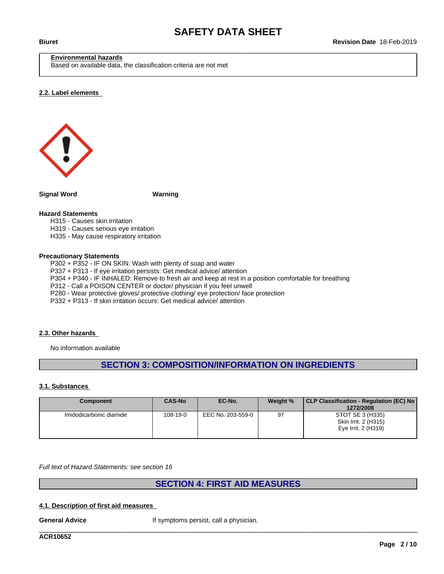# **Environmental hazards**

Based on available data, the classification criteria are not met

#### **2.2. Label elements**



**Signal Word Warning**

# **Hazard Statements**

H315 - Causes skin irritation

- H319 Causes serious eye irritation
- H335 May cause respiratory irritation

#### **Precautionary Statements**

P302 + P352 - IF ON SKIN: Wash with plenty of soap and water

- P337 + P313 If eye irritation persists: Get medical advice/ attention
- P304 + P340 IF INHALED: Remove to fresh air and keep at rest in a position comfortable for breathing

P312 - Call a POISON CENTER or doctor/ physician if you feel unwell

P280 - Wear protective gloves/ protective clothing/ eye protection/ face protection

P332 + P313 - If skin irritation occurs: Get medical advice/ attention

#### **2.3. Other hazards**

No information available

# **SECTION 3: COMPOSITION/INFORMATION ON INGREDIENTS**

#### **3.1. Substances**

| Component               | <b>CAS-No</b> | EC-No.            | Weight % | CLP Classification - Regulation (EC) No<br>1272/2008            |
|-------------------------|---------------|-------------------|----------|-----------------------------------------------------------------|
| Imidodicarbonic diamide | 108-19-0      | EEC No. 203-559-0 | 97       | STOT SE 3 (H335)<br>Skin Irrit. 2 (H315)<br>Eye Irrit. 2 (H319) |

*Full text of Hazard Statements: see section 16*

# **SECTION 4: FIRST AID MEASURES**

\_\_\_\_\_\_\_\_\_\_\_\_\_\_\_\_\_\_\_\_\_\_\_\_\_\_\_\_\_\_\_\_\_\_\_\_\_\_\_\_\_\_\_\_\_\_\_\_\_\_\_\_\_\_\_\_\_\_\_\_\_\_\_\_\_\_\_\_\_\_\_\_\_\_\_\_\_\_\_\_\_\_\_\_\_\_\_\_\_\_\_\_\_\_

#### **4.1. Description of first aid measures**

**General Advice If symptoms persist, call a physician.** 

**ACR10652**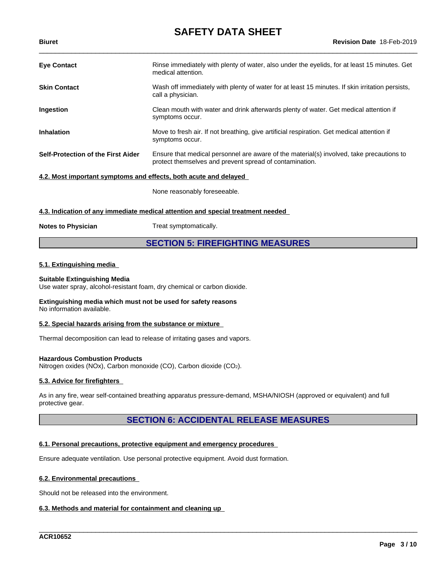| <b>Eye Contact</b>                                               | Rinse immediately with plenty of water, also under the eyelids, for at least 15 minutes. Get<br>medical attention.                                  |  |
|------------------------------------------------------------------|-----------------------------------------------------------------------------------------------------------------------------------------------------|--|
| <b>Skin Contact</b>                                              | Wash off immediately with plenty of water for at least 15 minutes. If skin irritation persists,<br>call a physician.                                |  |
| <b>Ingestion</b>                                                 | Clean mouth with water and drink afterwards plenty of water. Get medical attention if<br>symptoms occur.                                            |  |
| <b>Inhalation</b>                                                | Move to fresh air. If not breathing, give artificial respiration. Get medical attention if<br>symptoms occur.                                       |  |
| Self-Protection of the First Aider                               | Ensure that medical personnel are aware of the material(s) involved, take precautions to<br>protect themselves and prevent spread of contamination. |  |
| 4.2. Most important symptoms and effects, both acute and delayed |                                                                                                                                                     |  |

None reasonably foreseeable.

# **4.3. Indication of any immediate medical attention and special treatment needed**

**Notes to Physician** Treat symptomatically.

# **SECTION 5: FIREFIGHTING MEASURES**

# **5.1. Extinguishing media**

# **Suitable Extinguishing Media**

Use water spray, alcohol-resistant foam, dry chemical or carbon dioxide.

#### **Extinguishing media which must not be used for safety reasons** No information available.

# **5.2. Special hazards arising from the substance or mixture**

Thermal decomposition can lead to release of irritating gases and vapors.

# **Hazardous Combustion Products**

Nitrogen oxides (NOx), Carbon monoxide (CO), Carbon dioxide (CO2).

# **5.3. Advice for firefighters**

As in any fire, wear self-contained breathing apparatus pressure-demand, MSHA/NIOSH (approved or equivalent) and full protective gear.

# **SECTION 6: ACCIDENTAL RELEASE MEASURES**

\_\_\_\_\_\_\_\_\_\_\_\_\_\_\_\_\_\_\_\_\_\_\_\_\_\_\_\_\_\_\_\_\_\_\_\_\_\_\_\_\_\_\_\_\_\_\_\_\_\_\_\_\_\_\_\_\_\_\_\_\_\_\_\_\_\_\_\_\_\_\_\_\_\_\_\_\_\_\_\_\_\_\_\_\_\_\_\_\_\_\_\_\_\_

# **6.1. Personal precautions, protective equipment and emergency procedures**

Ensure adequate ventilation. Use personal protective equipment. Avoid dust formation.

# **6.2. Environmental precautions**

Should not be released into the environment.

# **6.3. Methods and material for containment and cleaning up**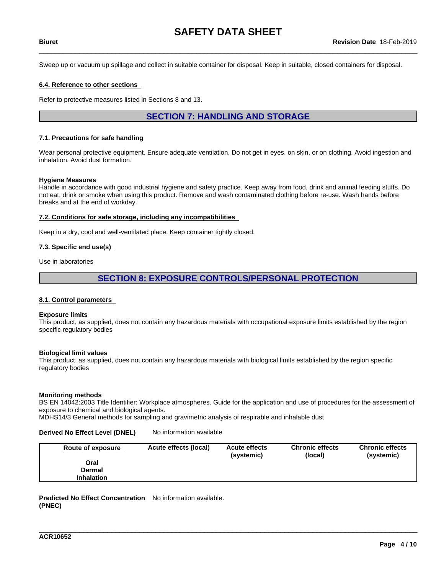Sweep up or vacuum up spillage and collect in suitable container for disposal. Keep in suitable, closed containers for disposal.

## **6.4. Reference to other sections**

Refer to protective measures listed in Sections 8 and 13.

# **SECTION 7: HANDLING AND STORAGE**

## **7.1. Precautions for safe handling**

Wear personal protective equipment. Ensure adequate ventilation. Do not get in eyes, on skin, or on clothing. Avoid ingestion and inhalation. Avoid dust formation.

#### **Hygiene Measures**

Handle in accordance with good industrial hygiene and safety practice. Keep away from food, drink and animal feeding stuffs. Do not eat, drink or smoke when using this product. Remove and wash contaminated clothing before re-use. Wash hands before breaks and at the end of workday.

## **7.2. Conditions for safe storage, including any incompatibilities**

Keep in a dry, cool and well-ventilated place. Keep container tightly closed.

# **7.3. Specific end use(s)**

Use in laboratories

# **SECTION 8: EXPOSURE CONTROLS/PERSONAL PROTECTION**

#### **8.1. Control parameters**

#### **Exposure limits**

This product, as supplied, does not contain any hazardous materials with occupational exposure limits established by the region specific regulatory bodies

#### **Biological limit values**

This product, as supplied, does not contain any hazardous materials with biological limits established by the region specific regulatory bodies

#### **Monitoring methods**

BS EN 14042:2003 Title Identifier: Workplace atmospheres. Guide for the application and use of procedures for the assessment of exposure to chemical and biological agents.

MDHS14/3 General methods for sampling and gravimetric analysis of respirable and inhalable dust

#### **Derived No Effect Level (DNEL)** No information available

| Route of exposure | Acute effects (local) | <b>Acute effects</b><br>(systemic) | <b>Chronic effects</b><br>(local) | <b>Chronic effects</b><br>(systemic) |
|-------------------|-----------------------|------------------------------------|-----------------------------------|--------------------------------------|
| Oral              |                       |                                    |                                   |                                      |
| <b>Dermal</b>     |                       |                                    |                                   |                                      |
| <b>Inhalation</b> |                       |                                    |                                   |                                      |

\_\_\_\_\_\_\_\_\_\_\_\_\_\_\_\_\_\_\_\_\_\_\_\_\_\_\_\_\_\_\_\_\_\_\_\_\_\_\_\_\_\_\_\_\_\_\_\_\_\_\_\_\_\_\_\_\_\_\_\_\_\_\_\_\_\_\_\_\_\_\_\_\_\_\_\_\_\_\_\_\_\_\_\_\_\_\_\_\_\_\_\_\_\_

**Predicted No Effect Concentration** No information available. **(PNEC)**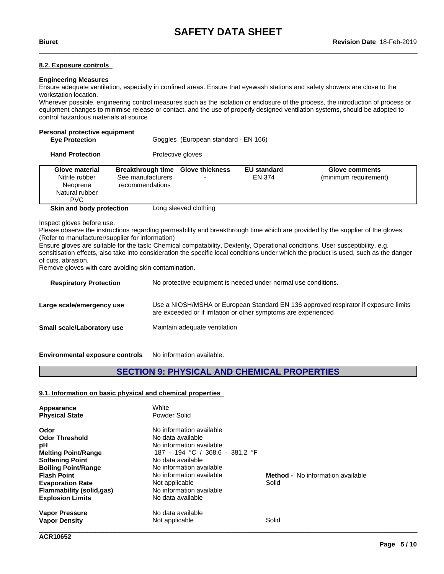# **8.2. Exposure controls**

# **Engineering Measures**

Ensure adequate ventilation, especially in confined areas. Ensure that eyewash stations and safety showers are close to the workstation location.

Wherever possible, engineering control measures such as the isolation or enclosure of the process, the introduction of process or equipment changes to minimise release or contact, and the use of properly designed ventilation systems, should be adopted to control hazardous materials at source

# **Personal protective equipment**

| <b>Eye Protection</b> | Goggles (European standard - EN 166) |
|-----------------------|--------------------------------------|
|                       |                                      |

| <b>Hand Protection</b> | Protective gloves |
|------------------------|-------------------|
|------------------------|-------------------|

| <b>Glove material</b><br>Nitrile rubber<br>Neoprene<br>Natural rubber<br>PVC. | <b>Breakthrough time</b><br>See manufacturers<br>recommendations | <b>Glove thickness</b><br>- | <b>EU standard</b><br>EN 374 | <b>Glove comments</b><br>(minimum requirement) |
|-------------------------------------------------------------------------------|------------------------------------------------------------------|-----------------------------|------------------------------|------------------------------------------------|
| Skin and body protection                                                      |                                                                  | Long sleeved clothing       |                              |                                                |

Inspect gloves before use.

Please observe the instructions regarding permeability and breakthrough time which are provided by the supplier of the gloves. (Refer to manufacturer/supplier for information)

Ensure gloves are suitable for the task: Chemical compatability, Dexterity, Operational conditions, User susceptibility, e.g. sensitisation effects, also take into consideration the specific local conditions under which the product is used, such as the danger of cuts, abrasion.

Remove gloves with care avoiding skin contamination.

| <b>Respiratory Protection</b>     | No protective equipment is needed under normal use conditions.                                                                                         |
|-----------------------------------|--------------------------------------------------------------------------------------------------------------------------------------------------------|
| Large scale/emergency use         | Use a NIOSH/MSHA or European Standard EN 136 approved respirator if exposure limits<br>are exceeded or if irritation or other symptoms are experienced |
| <b>Small scale/Laboratory use</b> | Maintain adequate ventilation                                                                                                                          |
|                                   |                                                                                                                                                        |

**Environmental exposure controls** No information available.

# **SECTION 9: PHYSICAL AND CHEMICAL PROPERTIES**

# **9.1. Information on basic physical and chemical properties**

| Appearance                 | White                           |                                          |
|----------------------------|---------------------------------|------------------------------------------|
| <b>Physical State</b>      | Powder Solid                    |                                          |
| Odor                       | No information available        |                                          |
| <b>Odor Threshold</b>      | No data available               |                                          |
| рH                         | No information available        |                                          |
| <b>Melting Point/Range</b> | 187 - 194 °C / 368.6 - 381.2 °F |                                          |
| <b>Softening Point</b>     | No data available               |                                          |
| <b>Boiling Point/Range</b> | No information available        |                                          |
| <b>Flash Point</b>         | No information available        | <b>Method -</b> No information available |
| <b>Evaporation Rate</b>    | Not applicable                  | Solid                                    |
| Flammability (solid,gas)   | No information available        |                                          |
| <b>Explosion Limits</b>    | No data available               |                                          |
| <b>Vapor Pressure</b>      | No data available               |                                          |
| <b>Vapor Density</b>       | Not applicable                  | Solid                                    |
|                            |                                 |                                          |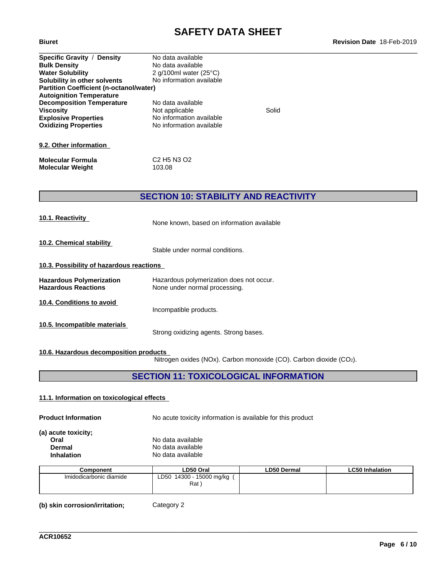| Specific Gravity / Density                     | No data available               |       |  |
|------------------------------------------------|---------------------------------|-------|--|
| <b>Bulk Density</b>                            | No data available               |       |  |
| <b>Water Solubility</b>                        | 2 g/100ml water $(25^{\circ}C)$ |       |  |
| Solubility in other solvents                   | No information available        |       |  |
| <b>Partition Coefficient (n-octanol/water)</b> |                                 |       |  |
| <b>Autoignition Temperature</b>                |                                 |       |  |
| <b>Decomposition Temperature</b>               | No data available               |       |  |
| <b>Viscosity</b>                               | Not applicable                  | Solid |  |
| <b>Explosive Properties</b>                    | No information available        |       |  |
| <b>Oxidizing Properties</b>                    | No information available        |       |  |
|                                                |                                 |       |  |
| 9.2. Other information                         |                                 |       |  |

| Molecular Formula | C2 H5 N3 O2 |
|-------------------|-------------|
| Molecular Weight  | 103.08      |

# **SECTION 10: STABILITY AND REACTIVITY**

| 10.1. Reactivity                                              | None known, based on information available                                |  |  |  |  |
|---------------------------------------------------------------|---------------------------------------------------------------------------|--|--|--|--|
| 10.2. Chemical stability                                      | Stable under normal conditions.                                           |  |  |  |  |
| 10.3. Possibility of hazardous reactions                      |                                                                           |  |  |  |  |
| <b>Hazardous Polymerization</b><br><b>Hazardous Reactions</b> | Hazardous polymerization does not occur.<br>None under normal processing. |  |  |  |  |
| 10.4. Conditions to avoid                                     | Incompatible products.                                                    |  |  |  |  |
| 10.5. Incompatible materials                                  | Strong oxidizing agents. Strong bases.                                    |  |  |  |  |

# **10.6. Hazardous decomposition products**

Nitrogen oxides (NOx). Carbon monoxide (CO). Carbon dioxide (CO2).

\_\_\_\_\_\_\_\_\_\_\_\_\_\_\_\_\_\_\_\_\_\_\_\_\_\_\_\_\_\_\_\_\_\_\_\_\_\_\_\_\_\_\_\_\_\_\_\_\_\_\_\_\_\_\_\_\_\_\_\_\_\_\_\_\_\_\_\_\_\_\_\_\_\_\_\_\_\_\_\_\_\_\_\_\_\_\_\_\_\_\_\_\_\_

# **SECTION 11: TOXICOLOGICAL INFORMATION**

# **11.1. Information on toxicologicaleffects**

**Product Information** No acute toxicity information is available for this product

**(a) acute toxicity; Oral** No data available

| vial              | <u>inu udia avaliable</u> |  |
|-------------------|---------------------------|--|
| Dermal            | No data available         |  |
| <b>Inhalation</b> | No data available         |  |

| Component               | LD50 Oral                    | <b>LD50 Dermal</b> | <b>LC50 Inhalation</b> |
|-------------------------|------------------------------|--------------------|------------------------|
| Imidodicarbonic diamide | 14300<br>15000 mg/kg<br>LD50 |                    |                        |
|                         | Rat                          |                    |                        |
|                         |                              |                    |                        |

**(b) skin corrosion/irritation;** Category 2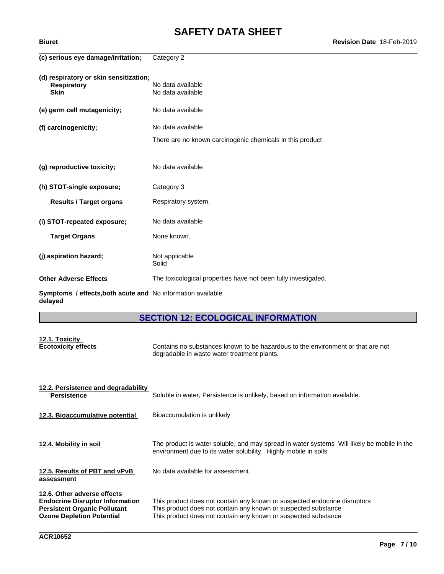# **SAFETY DATA SHEET**<br>Revision Date 18-Feb-2019

| (c) serious eye damage/irritation;                                          | Category 2                                                                                                                                                    |
|-----------------------------------------------------------------------------|---------------------------------------------------------------------------------------------------------------------------------------------------------------|
| (d) respiratory or skin sensitization;<br><b>Respiratory</b><br><b>Skin</b> | No data available<br>No data available                                                                                                                        |
| (e) germ cell mutagenicity;                                                 | No data available                                                                                                                                             |
| (f) carcinogenicity;                                                        | No data available                                                                                                                                             |
|                                                                             | There are no known carcinogenic chemicals in this product                                                                                                     |
| (g) reproductive toxicity;                                                  | No data available                                                                                                                                             |
| (h) STOT-single exposure;                                                   | Category 3                                                                                                                                                    |
| <b>Results / Target organs</b>                                              | Respiratory system.                                                                                                                                           |
| (i) STOT-repeated exposure;                                                 | No data available                                                                                                                                             |
| <b>Target Organs</b>                                                        | None known.                                                                                                                                                   |
| (j) aspiration hazard;                                                      | Not applicable<br>Solid                                                                                                                                       |
| <b>Other Adverse Effects</b>                                                | The toxicological properties have not been fully investigated.                                                                                                |
| Symptoms / effects, both acute and No information available<br>delayed      |                                                                                                                                                               |
|                                                                             | <b>SECTION 12: ECOLOGICAL INFORMATION</b>                                                                                                                     |
| 12.1. Toxicity<br><b>Ecotoxicity effects</b>                                | Contains no substances known to be hazardous to the environment or that are not<br>degradable in waste water treatment plants.                                |
| 12.2. Persistence and degradability<br><b>Persistence</b>                   | Soluble in water, Persistence is unlikely, based on information available.                                                                                    |
| 12.3. Bioaccumulative potential                                             | Bioaccumulation is unlikely                                                                                                                                   |
| 12.4. Mobility in soil                                                      | The product is water soluble, and may spread in water systems Will likely be mobile in the<br>environment due to its water solubility. Highly mobile in soils |
| 12.5. Results of PBT and vPvB<br>assessment                                 | No data available for assessment.                                                                                                                             |
| 12.6. Other adverse effects                                                 |                                                                                                                                                               |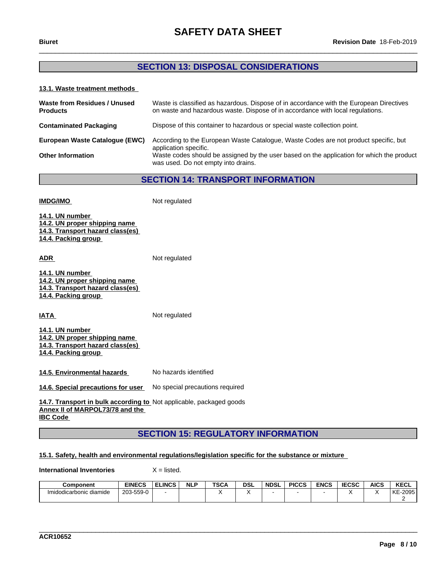# **SECTION 13: DISPOSAL CONSIDERATIONS**

# **13.1. Waste treatment methods**

| Waste from Residues / Unused<br><b>Products</b> | Waste is classified as hazardous. Dispose of in accordance with the European Directives<br>on waste and hazardous waste. Dispose of in accordance with local regulations. |
|-------------------------------------------------|---------------------------------------------------------------------------------------------------------------------------------------------------------------------------|
| <b>Contaminated Packaging</b>                   | Dispose of this container to hazardous or special waste collection point.                                                                                                 |
| European Waste Cataloque (EWC)                  | According to the European Waste Catalogue, Waste Codes are not product specific, but<br>application specific.                                                             |
| <b>Other Information</b>                        | Waste codes should be assigned by the user based on the application for which the product<br>was used. Do not empty into drains.                                          |

**SECTION 14: TRANSPORT INFORMATION**

| <b>IMDG/IMO</b>                                                                                                    | Not regulated                   |
|--------------------------------------------------------------------------------------------------------------------|---------------------------------|
| 14.1. UN number<br>14.2. UN proper shipping name<br>14.3. Transport hazard class(es)<br>14.4. Packing group        |                                 |
| <b>ADR</b>                                                                                                         | Not regulated                   |
| 14.1. UN number<br>14.2. UN proper shipping name<br>14.3. Transport hazard class(es)<br>14.4. Packing group        |                                 |
| <b>IATA</b>                                                                                                        | Not regulated                   |
| 14.1. UN number<br><u>14.2. UN proper shipping name</u><br>14.3. Transport hazard class(es)<br>14.4. Packing group |                                 |
| 14.5. Environmental hazards                                                                                        | No hazards identified           |
| 14.6. Special precautions for user                                                                                 | No special precautions required |
| 14.7. Transport in bulk according to Not applicable, packaged goods<br>Annex II of MARPOL73/78 and the             |                                 |

**IBC Code** 

# **SECTION 15: REGULATORY INFORMATION**

# **15.1. Safety, health and environmental regulations/legislation specific for the substance or mixture**

**International Inventories** X = listed.

| <b>Component</b>        | <b>EINECS</b>         | <b>ELINCS</b> | <b>NLP</b> | <b>TSCA</b> | dsl | <b>NDSL</b> | <b>PICCS</b> | <b>ENCS</b> | <b>IECSC</b> | <b>AICS</b> | <b>KECL</b> |
|-------------------------|-----------------------|---------------|------------|-------------|-----|-------------|--------------|-------------|--------------|-------------|-------------|
| Imidodicarbonic diamide | 3-559-0<br>≏∩ר<br>∠ບວ |               |            |             |     |             |              |             |              |             | KE-2095     |
|                         |                       |               |            |             |     |             |              |             |              |             |             |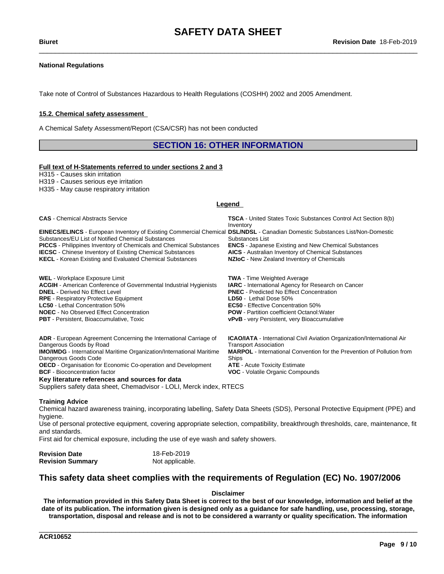# **National Regulations**

Take note of Control of Substances Hazardous to Health Regulations (COSHH) 2002 and 2005 Amendment.

## **15.2. Chemical safety assessment**

A Chemical Safety Assessment/Report (CSA/CSR) has not been conducted

# **SECTION 16: OTHER INFORMATION**

#### **Full text of H-Statements referred to undersections 2 and 3**

H315 - Causes skin irritation

H319 - Causes serious eye irritation

H335 - May cause respiratory irritation

#### **Legend**

| <b>CAS</b> - Chemical Abstracts Service                                                                                                                                                                                                                                                                                                                                                                                                       | <b>TSCA</b> - United States Toxic Substances Control Act Section 8(b)<br>Inventory                                                                                                                                                                                                                                                    |
|-----------------------------------------------------------------------------------------------------------------------------------------------------------------------------------------------------------------------------------------------------------------------------------------------------------------------------------------------------------------------------------------------------------------------------------------------|---------------------------------------------------------------------------------------------------------------------------------------------------------------------------------------------------------------------------------------------------------------------------------------------------------------------------------------|
| EINECS/ELINCS - European Inventory of Existing Commercial Chemical DSL/NDSL - Canadian Domestic Substances List/Non-Domestic<br>Substances/EU List of Notified Chemical Substances<br><b>PICCS</b> - Philippines Inventory of Chemicals and Chemical Substances<br><b>IECSC</b> - Chinese Inventory of Existing Chemical Substances<br><b>KECL</b> - Korean Existing and Evaluated Chemical Substances                                        | Substances List<br><b>ENCS</b> - Japanese Existing and New Chemical Substances<br><b>AICS</b> - Australian Inventory of Chemical Substances<br>NZIoC - New Zealand Inventory of Chemicals                                                                                                                                             |
| <b>WEL</b> - Workplace Exposure Limit<br><b>ACGIH</b> - American Conference of Governmental Industrial Hygienists<br><b>DNEL</b> - Derived No Effect Level<br><b>RPE</b> - Respiratory Protective Equipment<br><b>LC50</b> - Lethal Concentration 50%<br><b>NOEC</b> - No Observed Effect Concentration<br><b>PBT</b> - Persistent, Bioaccumulative, Toxic                                                                                    | <b>TWA</b> - Time Weighted Average<br><b>IARC</b> - International Agency for Research on Cancer<br><b>PNEC</b> - Predicted No Effect Concentration<br>LD50 - Lethal Dose 50%<br><b>EC50</b> - Effective Concentration 50%<br><b>POW</b> - Partition coefficient Octanol: Water<br><b>vPvB</b> - very Persistent, very Bioaccumulative |
| ADR - European Agreement Concerning the International Carriage of<br>Dangerous Goods by Road<br><b>IMO/IMDG</b> - International Maritime Organization/International Maritime<br>Dangerous Goods Code<br><b>OECD</b> - Organisation for Economic Co-operation and Development<br><b>BCF</b> - Bioconcentration factor<br>Key literature references and sources for data<br>Suppliers safety data sheet, Chemadvisor - LOLI, Merck index, RTECS | <b>ICAO/IATA</b> - International Civil Aviation Organization/International Air<br><b>Transport Association</b><br><b>MARPOL</b> - International Convention for the Prevention of Pollution from<br>Ships<br><b>ATE</b> - Acute Toxicity Estimate<br>VOC - Volatile Organic Compounds                                                  |

#### **Training Advice**

Chemical hazard awareness training, incorporating labelling, Safety Data Sheets (SDS), Personal Protective Equipment (PPE) and hygiene.

Use of personal protective equipment, covering appropriate selection, compatibility, breakthrough thresholds, care, maintenance, fit and standards.

First aid for chemical exposure, including the use of eye wash and safety showers.

| <b>Revision Date</b>    | 18-Feb-2019     |
|-------------------------|-----------------|
| <b>Revision Summary</b> | Not applicable. |

# **This safety data sheet complies with the requirements of Regulation (EC) No. 1907/2006**

#### **Disclaimer**

The information provided in this Safety Data Sheet is correct to the best of our knowledge, information and belief at the date of its publication. The information given is designed only as a guidance for safe handling, use, processing, storage, transportation, disposal and release and is not to be considered a warranty or quality specification. The information